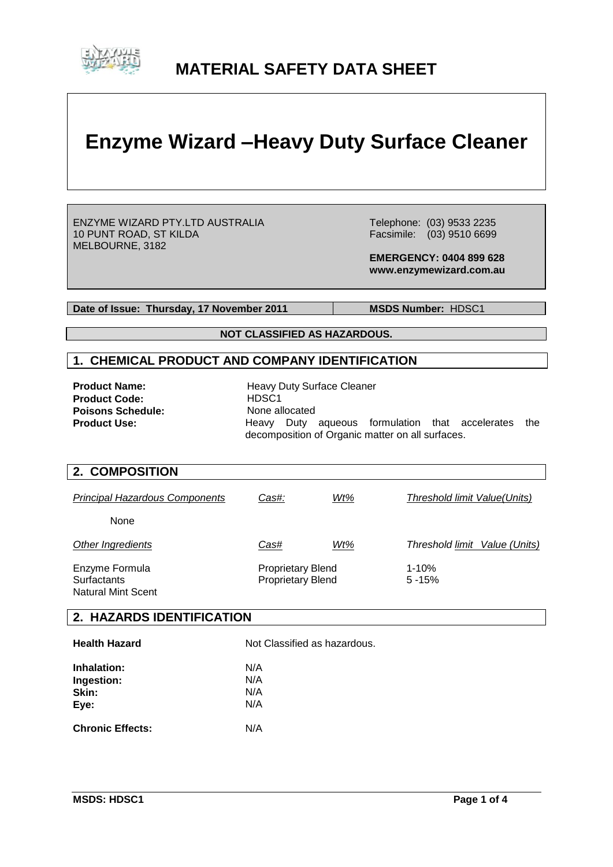

# **MATERIAL SAFETY DATA SHEET**

# **Enzyme Wizard –Heavy Duty Surface Cleaner**

ENZYME WIZARD PTY.LTD AUSTRALIA 10 PUNT ROAD, ST KILDA MELBOURNE, 3182

 Telephone: (03) 9533 2235 Facsimile: (03) 9510 6699

 **EMERGENCY: 0404 899 628 www.enzymewizard.com.au**

**Date of Issue: Thursday, 17 November 2011** MSDS Number: HDSC1

**NOT CLASSIFIED AS HAZARDOUS.**

# **1. CHEMICAL PRODUCT AND COMPANY IDENTIFICATION**

**Product Code:** HDSC1<br> **Poisons Schedule:** None allocated **Poisons Schedule:<br>Product Use:** 

**Product Name:** Heavy Duty Surface Cleaner **Product Use:** Heavy Duty aqueous formulation that accelerates the decomposition of Organic matter on all surfaces.

#### **2. COMPOSITION**

| <b>Principal Hazardous Components</b>                             | Cas#:                                                | Wt% | Threshold limit Value(Units)  |
|-------------------------------------------------------------------|------------------------------------------------------|-----|-------------------------------|
| None                                                              |                                                      |     |                               |
| Other Ingredients                                                 | Cas#                                                 | Wt% | Threshold limit Value (Units) |
| Enzyme Formula<br><b>Surfactants</b><br><b>Natural Mint Scent</b> | <b>Proprietary Blend</b><br><b>Proprietary Blend</b> |     | $1 - 10%$<br>$5 - 15%$        |

#### **2. HAZARDS IDENTIFICATION**

| <b>Health Hazard</b>    | Not Classified as hazardous. |
|-------------------------|------------------------------|
| Inhalation:             | N/A                          |
| Ingestion:              | N/A                          |
| Skin:                   | N/A                          |
| Eye:                    | N/A                          |
| <b>Chronic Effects:</b> | N/A                          |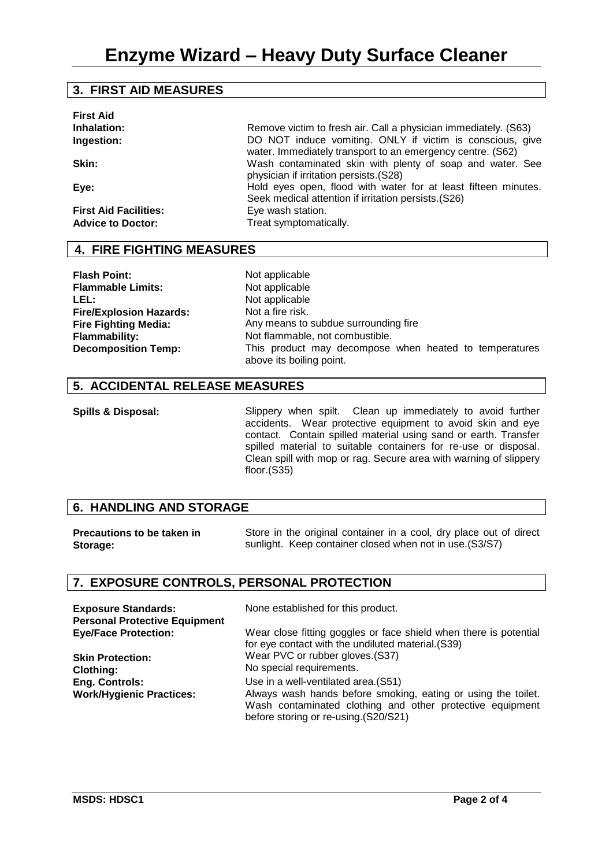# **3. FIRST AID MEASURES**

| <b>First Aid</b>             | Remove victim to fresh air. Call a physician immediately. (S63)                                                        |
|------------------------------|------------------------------------------------------------------------------------------------------------------------|
| Inhalation:                  | DO NOT induce vomiting. ONLY if victim is conscious, give                                                              |
| Ingestion:                   | water. Immediately transport to an emergency centre. (S62)                                                             |
| Skin:                        | Wash contaminated skin with plenty of soap and water. See<br>physician if irritation persists.(S28)                    |
| Eye:                         | Hold eyes open, flood with water for at least fifteen minutes.<br>Seek medical attention if irritation persists. (S26) |
| <b>First Aid Facilities:</b> | Eye wash station.                                                                                                      |
| <b>Advice to Doctor:</b>     | Treat symptomatically.                                                                                                 |

# **4. FIRE FIGHTING MEASURES**

**Flash Point:** Not applicable<br> **Flammable Limits:** Not applicable **Flammable Limits:** LEL: Not applicable **Fire/Explosion Hazards: Fire Fighting Media:**

Not a fire risk. Any means to subdue surrounding fire **Flammability:** Not flammable, not combustible. **Decomposition Temp:** This product may decompose when heated to temperatures above its boiling point.

# **5. ACCIDENTAL RELEASE MEASURES**

**Spills & Disposal:** Slippery when spilt. Clean up immediately to avoid further accidents. Wear protective equipment to avoid skin and eye contact. Contain spilled material using sand or earth. Transfer spilled material to suitable containers for re-use or disposal. Clean spill with mop or rag. Secure area with warning of slippery floor.(S35)

#### **6. HANDLING AND STORAGE**

| <b>Precautions to be taken in</b> | Store in the original container in a cool, dry place out of direct |
|-----------------------------------|--------------------------------------------------------------------|
| Storage:                          | sunlight. Keep container closed when not in use. (S3/S7)           |

# **7. EXPOSURE CONTROLS, PERSONAL PROTECTION**

| <b>Exposure Standards:</b><br><b>Personal Protective Equipment</b> | None established for this product.                                                                                                                                 |
|--------------------------------------------------------------------|--------------------------------------------------------------------------------------------------------------------------------------------------------------------|
| <b>Eye/Face Protection:</b>                                        | Wear close fitting goggles or face shield when there is potential<br>for eye contact with the undiluted material. (S39)                                            |
| <b>Skin Protection:</b>                                            | Wear PVC or rubber gloves. (S37)                                                                                                                                   |
| <b>Clothing:</b>                                                   | No special requirements.                                                                                                                                           |
| <b>Eng. Controls:</b>                                              | Use in a well-ventilated area. (S51)                                                                                                                               |
| <b>Work/Hygienic Practices:</b>                                    | Always wash hands before smoking, eating or using the toilet.<br>Wash contaminated clothing and other protective equipment<br>before storing or re-using.(S20/S21) |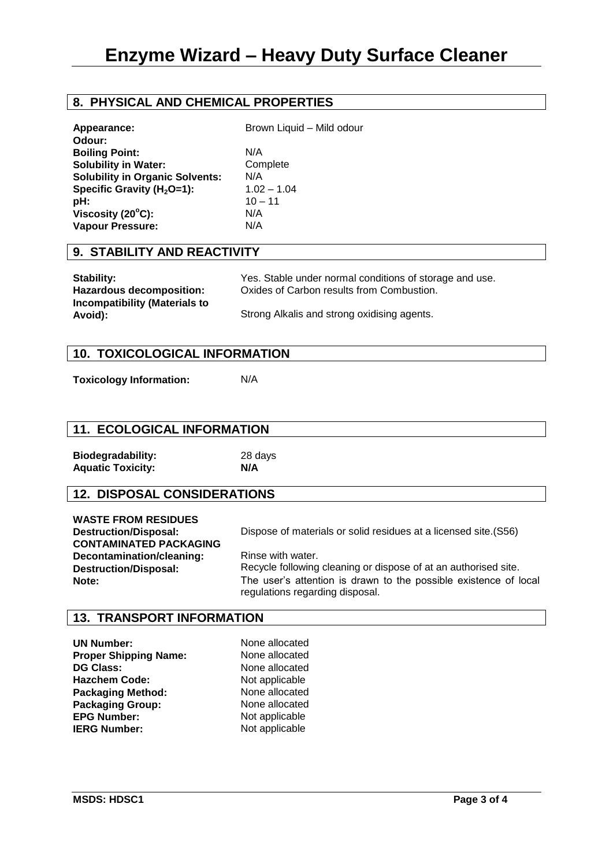# **8. PHYSICAL AND CHEMICAL PROPERTIES**

| Appearance:<br>Odour:                  | Brown Liquid - Mild odour |
|----------------------------------------|---------------------------|
| <b>Boiling Point:</b>                  | N/A                       |
| <b>Solubility in Water:</b>            | Complete                  |
| <b>Solubility in Organic Solvents:</b> | N/A                       |
| Specific Gravity ( $H_2O=1$ ):         | $1.02 - 1.04$             |
| pH:                                    | $10 - 11$                 |
| Viscosity $(20^{\circ}C)$ :            | N/A                       |
| <b>Vapour Pressure:</b>                | N/A                       |
|                                        |                           |

#### **9. STABILITY AND REACTIVITY**

| Stability:                    | Yes. Stable under normal conditions of storage and use. |
|-------------------------------|---------------------------------------------------------|
| Hazardous decomposition:      | Oxides of Carbon results from Combustion.               |
| Incompatibility (Materials to |                                                         |
| Avoid):                       | Strong Alkalis and strong oxidising agents.             |

#### **10. TOXICOLOGICAL INFORMATION**

**Toxicology Information:** N/A

# **11. ECOLOGICAL INFORMATION**

| <b>Biodegradability:</b> | 28d |
|--------------------------|-----|
| <b>Aquatic Toxicity:</b> | N/A |

**Biodegradability:** 28 days

# **12. DISPOSAL CONSIDERATIONS**

| <b>WASTE FROM RESIDUES</b><br><b>Destruction/Disposal:</b><br><b>CONTAMINATED PACKAGING</b> | Dispose of materials or solid residues at a licensed site. (S56)                                    |
|---------------------------------------------------------------------------------------------|-----------------------------------------------------------------------------------------------------|
| Decontamination/cleaning:<br><b>Destruction/Disposal:</b>                                   | Rinse with water.<br>Recycle following cleaning or dispose of at an authorised site.                |
| Note:                                                                                       | The user's attention is drawn to the possible existence of local<br>regulations regarding disposal. |

#### **13. TRANSPORT INFORMATION**

**UN Number:** None allocated<br> **Proper Shipping Name:** None allocated **Proper Shipping Name: DG Class:** None allocated **Hazchem Code:** Not applicable<br> **Packaging Method:** None allocated **Packaging Method:** None allocated<br> **Packaging Group:** None allocated **Packaging Group:<br>EPG Number: IERG Number:** Not applicable

**Not applicable**